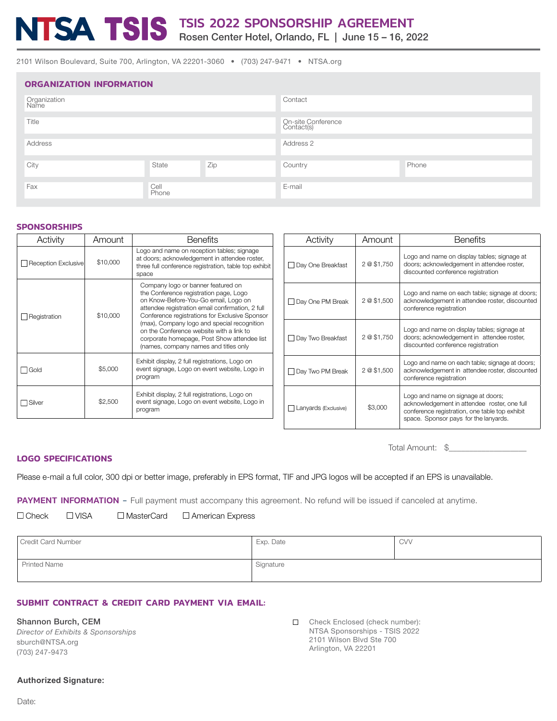# TSIS 2022 SPONSORSHIP AGREEMENT

Rosen Center Hotel, Orlando, FL | June 15 – 16, 2022

2101 Wilson Boulevard, Suite 700, Arlington, VA 22201-3060 • (703) 247-9471 • NTSA.org

| <b>ORGANIZATION INFORMATION</b> |               |                                  |         |       |  |
|---------------------------------|---------------|----------------------------------|---------|-------|--|
| Organization<br>Name            |               |                                  | Contact |       |  |
| Title                           |               | On-site Conference<br>Contact(s) |         |       |  |
| Address                         |               | Address 2                        |         |       |  |
| City                            | State         | Zip                              | Country | Phone |  |
| Fax                             | Cell<br>Phone |                                  | E-mail  |       |  |

#### **SPONSORSHIPS**

| Activity                        | Amount   | <b>Benefits</b>                                                                                                                                                                                                                                                                                                                                                                                               |  |
|---------------------------------|----------|---------------------------------------------------------------------------------------------------------------------------------------------------------------------------------------------------------------------------------------------------------------------------------------------------------------------------------------------------------------------------------------------------------------|--|
| \$10,000<br>Reception Exclusive |          | Logo and name on reception tables; signage<br>at doors; acknowledgement in attendee roster,<br>three full conference registration, table top exhibit<br>space                                                                                                                                                                                                                                                 |  |
| Registration                    | \$10,000 | Company logo or banner featured on<br>the Conference registration page, Logo<br>on Know-Before-You-Go email, Logo on<br>attendee registration email confirmation, 2 full<br>Conference registrations for Exclusive Sponsor<br>(max), Company logo and special recognition<br>on the Conference website with a link to<br>corporate homepage, Post Show attendee list<br>(names, company names and titles only |  |
| \$5,000<br>Gold                 |          | Exhibit display, 2 full registrations, Logo on<br>event signage, Logo on event website, Logo in<br>program                                                                                                                                                                                                                                                                                                    |  |
| Silver                          | \$2,500  | Exhibit display, 2 full registrations, Logo on<br>event signage, Logo on event website, Logo in<br>program                                                                                                                                                                                                                                                                                                    |  |

| Activity                          | Amount      | <b>Benefits</b>                                                                                                                                                               |  |
|-----------------------------------|-------------|-------------------------------------------------------------------------------------------------------------------------------------------------------------------------------|--|
| Day One Breakfast                 | 2 @ \$1,750 | Logo and name on display tables; signage at<br>doors; acknowledgement in attendee roster,<br>discounted conference registration                                               |  |
| Day One PM Break                  | 2 @ \$1,500 | Logo and name on each table; signage at doors;<br>acknowledgement in attendee roster, discounted<br>conference registration                                                   |  |
| Day Two Breakfast                 | 2 @ \$1,750 | Logo and name on display tables; signage at<br>doors; acknowledgement in attendee roster,<br>discounted conference registration                                               |  |
| 2 @ \$1,500<br>□ Day Two PM Break |             | Logo and name on each table; signage at doors;<br>acknowledgement in attendee roster, discounted<br>conference registration                                                   |  |
| Lanyards (Exclusive)              | \$3,000     | Logo and name on signage at doors;<br>acknowledgement in attendee roster, one full<br>conference registration, one table top exhibit<br>space. Sponsor pays for the lanyards. |  |

Total Amount:  $\$$ 

#### **LOGO SPECIFICATIONS**

Please e-mail a full color, 300 dpi or better image, preferably in EPS format, TIF and JPG logos will be accepted if an EPS is unavailable.

PAYMENT INFORMATION - Full payment must accompany this agreement. No refund will be issued if canceled at anytime.

| $\Box$ Check<br>$\square$ VISA<br>$\Box$ MasterCard<br>$\Box$ American Express |
|--------------------------------------------------------------------------------|
|--------------------------------------------------------------------------------|

| Credit Card Number  | Exp. Date | <b>CVV</b> |
|---------------------|-----------|------------|
| <b>Printed Name</b> | Signature |            |

## **SUBMIT CONTRACT & CREDIT CARD PAYMENT VIA EMAIL:**

Shannon Burch, CEM

| Director of Exhibits & Sponsorships |  |
|-------------------------------------|--|
| sburch@NTSA.org                     |  |
| (703) 247-9473                      |  |

Check Enclosed (check number): NTSA Sponsorships - TSIS 2022 2101 Wilson Blvd Ste 700 Arlington, VA 22201

#### **Authorized Signature:**